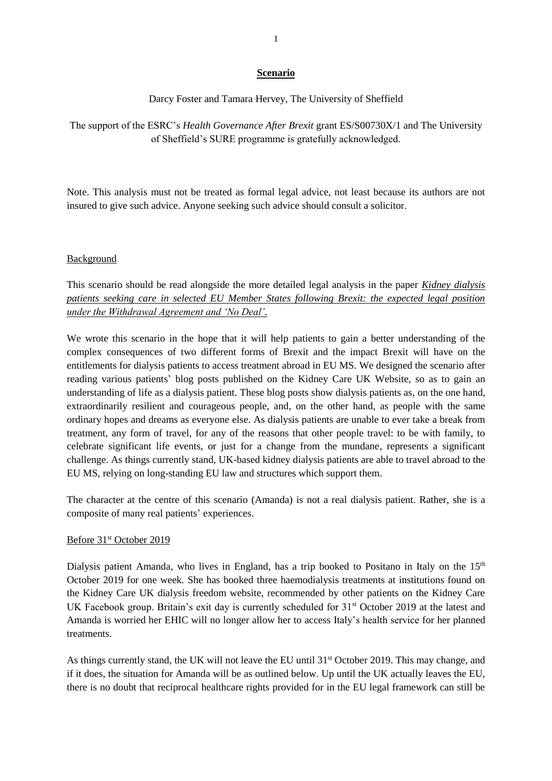#### **Scenario**

### Darcy Foster and Tamara Hervey, The University of Sheffield

## The support of the ESRC's *Health Governance After Brexit* grant ES/S00730X/1 and The University of Sheffield's SURE programme is gratefully acknowledged.

Note. This analysis must not be treated as formal legal advice, not least because its authors are not insured to give such advice. Anyone seeking such advice should consult a solicitor.

## **Background**

# This scenario should be read alongside the more detailed legal analysis in the paper *Kidney dialysis patients seeking care in selected EU Member States following Brexit: the expected legal position under the Withdrawal Agreement and 'No Deal'*.

We wrote this scenario in the hope that it will help patients to gain a better understanding of the complex consequences of two different forms of Brexit and the impact Brexit will have on the entitlements for dialysis patients to access treatment abroad in EU MS. We designed the scenario after reading various patients' blog posts published on the Kidney Care UK Website, so as to gain an understanding of life as a dialysis patient. These blog posts show dialysis patients as, on the one hand, extraordinarily resilient and courageous people, and, on the other hand, as people with the same ordinary hopes and dreams as everyone else. As dialysis patients are unable to ever take a break from treatment, any form of travel, for any of the reasons that other people travel: to be with family, to celebrate significant life events, or just for a change from the mundane, represents a significant challenge. As things currently stand, UK-based kidney dialysis patients are able to travel abroad to the EU MS, relying on long-standing EU law and structures which support them.

The character at the centre of this scenario (Amanda) is not a real dialysis patient. Rather, she is a composite of many real patients' experiences.

### Before 31<sup>st</sup> October 2019

Dialysis patient Amanda, who lives in England, has a trip booked to Positano in Italy on the 15<sup>th</sup> October 2019 for one week. She has booked three haemodialysis treatments at institutions found on the Kidney Care UK dialysis freedom website, recommended by other patients on the Kidney Care UK Facebook group. Britain's exit day is currently scheduled for  $31<sup>st</sup>$  October 2019 at the latest and Amanda is worried her EHIC will no longer allow her to access Italy's health service for her planned treatments.

As things currently stand, the UK will not leave the EU until 31<sup>st</sup> October 2019. This may change, and if it does, the situation for Amanda will be as outlined below. Up until the UK actually leaves the EU, there is no doubt that reciprocal healthcare rights provided for in the EU legal framework can still be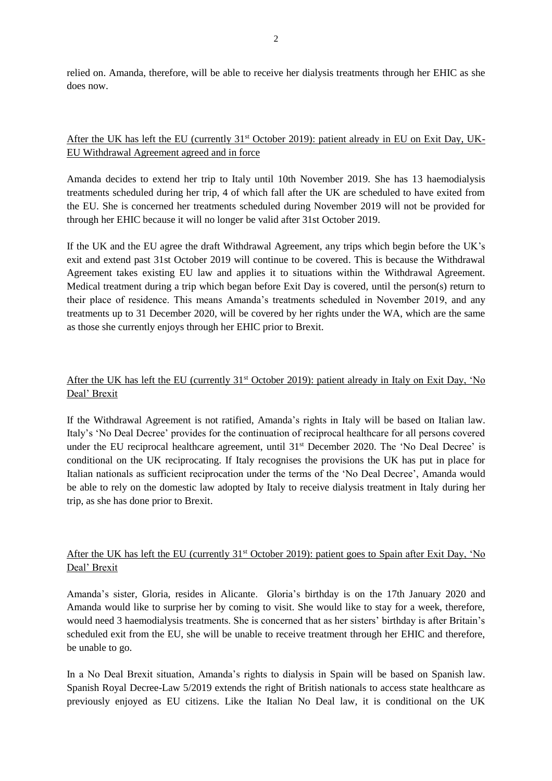relied on. Amanda, therefore, will be able to receive her dialysis treatments through her EHIC as she does now.

## After the UK has left the EU (currently 31<sup>st</sup> October 2019): patient already in EU on Exit Day, UK-EU Withdrawal Agreement agreed and in force

Amanda decides to extend her trip to Italy until 10th November 2019. She has 13 haemodialysis treatments scheduled during her trip, 4 of which fall after the UK are scheduled to have exited from the EU. She is concerned her treatments scheduled during November 2019 will not be provided for through her EHIC because it will no longer be valid after 31st October 2019.

If the UK and the EU agree the draft Withdrawal Agreement, any trips which begin before the UK's exit and extend past 31st October 2019 will continue to be covered. This is because the Withdrawal Agreement takes existing EU law and applies it to situations within the Withdrawal Agreement. Medical treatment during a trip which began before Exit Day is covered, until the person(s) return to their place of residence. This means Amanda's treatments scheduled in November 2019, and any treatments up to 31 December 2020, will be covered by her rights under the WA, which are the same as those she currently enjoys through her EHIC prior to Brexit.

# After the UK has left the EU (currently 31<sup>st</sup> October 2019): patient already in Italy on Exit Day, 'No Deal' Brexit

If the Withdrawal Agreement is not ratified, Amanda's rights in Italy will be based on Italian law. Italy's 'No Deal Decree' provides for the continuation of reciprocal healthcare for all persons covered under the EU reciprocal healthcare agreement, until  $31<sup>st</sup>$  December 2020. The 'No Deal Decree' is conditional on the UK reciprocating. If Italy recognises the provisions the UK has put in place for Italian nationals as sufficient reciprocation under the terms of the 'No Deal Decree', Amanda would be able to rely on the domestic law adopted by Italy to receive dialysis treatment in Italy during her trip, as she has done prior to Brexit.

## After the UK has left the EU (currently  $31<sup>st</sup>$  October 2019): patient goes to Spain after Exit Day, 'No Deal' Brexit

Amanda's sister, Gloria, resides in Alicante. Gloria's birthday is on the 17th January 2020 and Amanda would like to surprise her by coming to visit. She would like to stay for a week, therefore, would need 3 haemodialysis treatments. She is concerned that as her sisters' birthday is after Britain's scheduled exit from the EU, she will be unable to receive treatment through her EHIC and therefore, be unable to go.

In a No Deal Brexit situation, Amanda's rights to dialysis in Spain will be based on Spanish law. Spanish Royal Decree-Law 5/2019 extends the right of British nationals to access state healthcare as previously enjoyed as EU citizens. Like the Italian No Deal law, it is conditional on the UK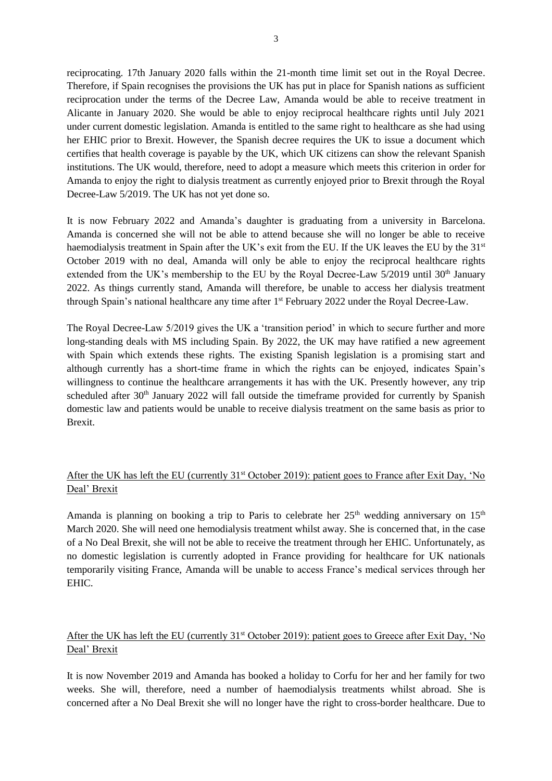reciprocating. 17th January 2020 falls within the 21-month time limit set out in the Royal Decree. Therefore, if Spain recognises the provisions the UK has put in place for Spanish nations as sufficient reciprocation under the terms of the Decree Law, Amanda would be able to receive treatment in Alicante in January 2020. She would be able to enjoy reciprocal healthcare rights until July 2021 under current domestic legislation. Amanda is entitled to the same right to healthcare as she had using her EHIC prior to Brexit. However, the Spanish decree requires the UK to issue a document which certifies that health coverage is payable by the UK, which UK citizens can show the relevant Spanish institutions. The UK would, therefore, need to adopt a measure which meets this criterion in order for Amanda to enjoy the right to dialysis treatment as currently enjoyed prior to Brexit through the Royal Decree-Law 5/2019. The UK has not yet done so.

It is now February 2022 and Amanda's daughter is graduating from a university in Barcelona. Amanda is concerned she will not be able to attend because she will no longer be able to receive haemodialysis treatment in Spain after the UK's exit from the EU. If the UK leaves the EU by the 31<sup>st</sup> October 2019 with no deal, Amanda will only be able to enjoy the reciprocal healthcare rights extended from the UK's membership to the EU by the Royal Decree-Law 5/2019 until 30<sup>th</sup> January 2022. As things currently stand, Amanda will therefore, be unable to access her dialysis treatment through Spain's national healthcare any time after 1<sup>st</sup> February 2022 under the Royal Decree-Law.

The Royal Decree-Law 5/2019 gives the UK a 'transition period' in which to secure further and more long-standing deals with MS including Spain. By 2022, the UK may have ratified a new agreement with Spain which extends these rights. The existing Spanish legislation is a promising start and although currently has a short-time frame in which the rights can be enjoyed, indicates Spain's willingness to continue the healthcare arrangements it has with the UK. Presently however, any trip scheduled after 30<sup>th</sup> January 2022 will fall outside the timeframe provided for currently by Spanish domestic law and patients would be unable to receive dialysis treatment on the same basis as prior to Brexit.

## After the UK has left the EU (currently 31<sup>st</sup> October 2019): patient goes to France after Exit Day, 'No Deal' Brexit

Amanda is planning on booking a trip to Paris to celebrate her  $25<sup>th</sup>$  wedding anniversary on  $15<sup>th</sup>$ March 2020. She will need one hemodialysis treatment whilst away. She is concerned that, in the case of a No Deal Brexit, she will not be able to receive the treatment through her EHIC. Unfortunately, as no domestic legislation is currently adopted in France providing for healthcare for UK nationals temporarily visiting France, Amanda will be unable to access France's medical services through her EHIC.

## After the UK has left the EU (currently 31<sup>st</sup> October 2019): patient goes to Greece after Exit Day, 'No Deal' Brexit

It is now November 2019 and Amanda has booked a holiday to Corfu for her and her family for two weeks. She will, therefore, need a number of haemodialysis treatments whilst abroad. She is concerned after a No Deal Brexit she will no longer have the right to cross-border healthcare. Due to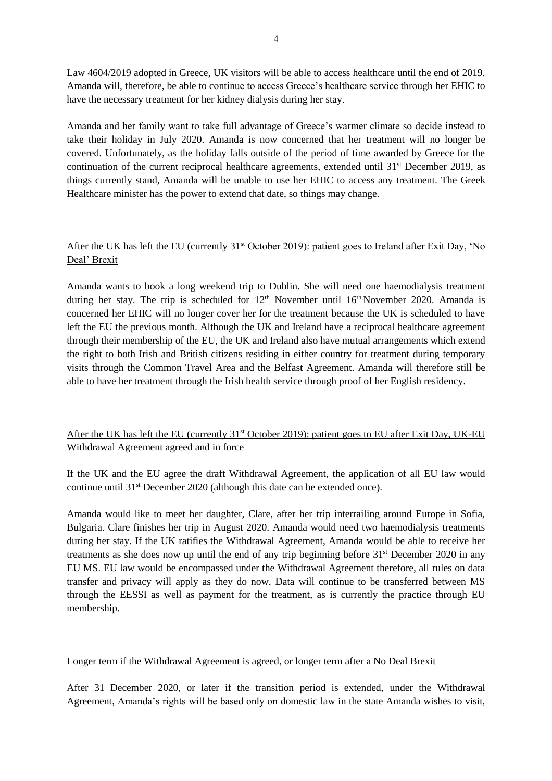Law 4604/2019 adopted in Greece, UK visitors will be able to access healthcare until the end of 2019. Amanda will, therefore, be able to continue to access Greece's healthcare service through her EHIC to have the necessary treatment for her kidney dialysis during her stay.

Amanda and her family want to take full advantage of Greece's warmer climate so decide instead to take their holiday in July 2020. Amanda is now concerned that her treatment will no longer be covered. Unfortunately, as the holiday falls outside of the period of time awarded by Greece for the continuation of the current reciprocal healthcare agreements, extended until  $31<sup>st</sup>$  December 2019, as things currently stand, Amanda will be unable to use her EHIC to access any treatment. The Greek Healthcare minister has the power to extend that date, so things may change.

## After the UK has left the EU (currently 31<sup>st</sup> October 2019): patient goes to Ireland after Exit Day, 'No Deal' Brexit

Amanda wants to book a long weekend trip to Dublin. She will need one haemodialysis treatment during her stay. The trip is scheduled for  $12<sup>th</sup>$  November until  $16<sup>th</sup>$ November 2020. Amanda is concerned her EHIC will no longer cover her for the treatment because the UK is scheduled to have left the EU the previous month. Although the UK and Ireland have a reciprocal healthcare agreement through their membership of the EU, the UK and Ireland also have mutual arrangements which extend the right to both Irish and British citizens residing in either country for treatment during temporary visits through the Common Travel Area and the Belfast Agreement. Amanda will therefore still be able to have her treatment through the Irish health service through proof of her English residency.

## After the UK has left the EU (currently 31<sup>st</sup> October 2019): patient goes to EU after Exit Day, UK-EU Withdrawal Agreement agreed and in force

If the UK and the EU agree the draft Withdrawal Agreement, the application of all EU law would continue until 31st December 2020 (although this date can be extended once).

Amanda would like to meet her daughter, Clare, after her trip interrailing around Europe in Sofia, Bulgaria. Clare finishes her trip in August 2020. Amanda would need two haemodialysis treatments during her stay. If the UK ratifies the Withdrawal Agreement, Amanda would be able to receive her treatments as she does now up until the end of any trip beginning before  $31<sup>st</sup>$  December 2020 in any EU MS. EU law would be encompassed under the Withdrawal Agreement therefore, all rules on data transfer and privacy will apply as they do now. Data will continue to be transferred between MS through the EESSI as well as payment for the treatment, as is currently the practice through EU membership.

### Longer term if the Withdrawal Agreement is agreed, or longer term after a No Deal Brexit

After 31 December 2020, or later if the transition period is extended, under the Withdrawal Agreement, Amanda's rights will be based only on domestic law in the state Amanda wishes to visit,